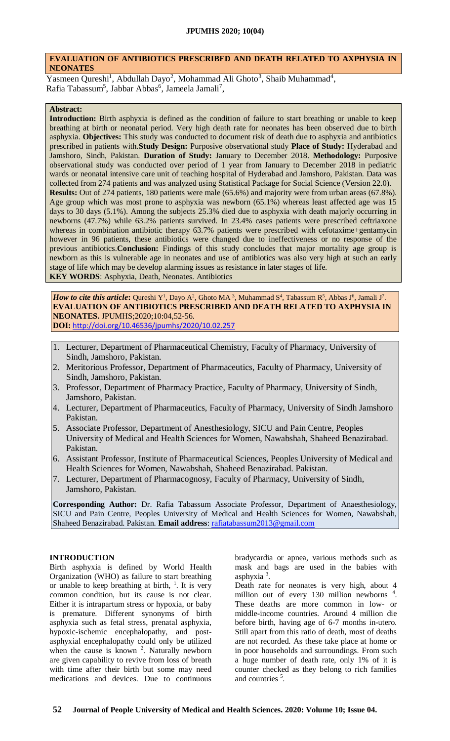### **EVALUATION OF ANTIBIOTICS PRESCRIBED AND DEATH RELATED TO AXPHYSIA IN NEONATES**

Yasmeen Qureshi<sup>1</sup>, Abdullah Dayo<sup>2</sup>, Mohammad Ali Ghoto<sup>3</sup>, Shaib Muhammad<sup>4</sup>, Rafia Tabassum<sup>5</sup>, Jabbar Abbas<sup>6</sup>, Jameela Jamali<sup>7</sup>,

# **Abstract:**

**Introduction:** Birth asphyxia is defined as the condition of failure to start breathing or unable to keep breathing at birth or neonatal period. Very high death rate for neonates has been observed due to birth asphyxia. **Objectives:** This study was conducted to document risk of death due to asphyxia and antibiotics prescribed in patients with.**Study Design:** Purposive observational study **Place of Study:** Hyderabad and Jamshoro, Sindh, Pakistan. **Duration of Study:** January to December 2018. **Methodology:** Purposive observational study was conducted over period of 1 year from January to December 2018 in pediatric wards or neonatal intensive care unit of teaching hospital of Hyderabad and Jamshoro, Pakistan. Data was collected from 274 patients and was analyzed using Statistical Package for Social Science (Version 22.0). **Results:** Out of 274 patients, 180 patients were male (65.6%) and majority were from urban areas (67.8%). Age group which was most prone to asphyxia was newborn (65.1%) whereas least affected age was 15 days to 30 days (5.1%). Among the subjects 25.3% died due to asphyxia with death majorly occurring in newborns (47.7%) while 63.2% patients survived. In 23.4% cases patients were prescribed ceftriaxone whereas in combination antibiotic therapy 63.7% patients were prescribed with cefotaxime+gentamycin however in 96 patients, these antibiotics were changed due to ineffectiveness or no response of the previous antibiotics.**Conclusion:** Findings of this study concludes that major mortality age group is newborn as this is vulnerable age in neonates and use of antibiotics was also very high at such an early stage of life which may be develop alarming issues as resistance in later stages of life. **KEY WORDS**: Asphyxia, Death, Neonates. Antibiotics

*How to cite this article*: Qureshi Y<sup>1</sup>, Dayo A<sup>2</sup>, Ghoto MA<sup>3</sup>, Muhammad S<sup>4</sup>, Tabassum R<sup>5</sup>, Abbas J<sup>6</sup>, Jamali J<sup>7</sup>. **EVALUATION OF ANTIBIOTICS PRESCRIBED AND DEATH RELATED TO AXPHYSIA IN NEONATES.** JPUMHS;2020;10:04,52-56. **DOI:** <http://doi.org/10.46536/jpumhs/2020/10.02.257>

- 1. Lecturer, Department of Pharmaceutical Chemistry, Faculty of Pharmacy, University of Sindh, Jamshoro, Pakistan.
- 2. Meritorious Professor, Department of Pharmaceutics, Faculty of Pharmacy, University of Sindh, Jamshoro, Pakistan.
- 3. Professor, Department of Pharmacy Practice, Faculty of Pharmacy, University of Sindh, Jamshoro, Pakistan.
- 4. Lecturer, Department of Pharmaceutics, Faculty of Pharmacy, University of Sindh Jamshoro Pakistan.
- 5. Associate Professor, Department of Anesthesiology, SICU and Pain Centre, Peoples University of Medical and Health Sciences for Women, Nawabshah, Shaheed Benazirabad. Pakistan.
- 6. Assistant Professor, Institute of Pharmaceutical Sciences, Peoples University of Medical and Health Sciences for Women, Nawabshah, Shaheed Benazirabad. Pakistan.
- 7. Lecturer, Department of Pharmacognosy, Faculty of Pharmacy, University of Sindh, Jamshoro, Pakistan.

**Corresponding Author:** Dr. Rafia Tabassum Associate Professor, Department of Anaesthesiology, SICU and Pain Centre, Peoples University of Medical and Health Sciences for Women, Nawabshah, Shaheed Benazirabad. Pakistan. **Email address**: [rafiatabassum2013@gmail.com](mailto:rafiatabassum2013@gmail.com)

#### **INTRODUCTION**

Birth asphyxia is defined by World Health Organization (WHO) as failure to start breathing or unable to keep breathing at birth,  $\frac{1}{1}$ . It is very common condition, but its cause is not clear. Either it is intrapartum stress or hypoxia, or baby is premature. Different synonyms of birth asphyxia such as fetal stress, prenatal asphyxia, hypoxic-ischemic encephalopathy, and postasphyxial encephalopathy could only be utilized when the cause is known  $2$ . Naturally newborn are given capability to revive from loss of breath with time after their birth but some may need medications and devices. Due to continuous

bradycardia or apnea, various methods such as mask and bags are used in the babies with asphyxia<sup>3</sup>.

Death rate for neonates is very high, about 4 million out of every 130 million newborns<sup>4</sup>. These deaths are more common in low- or middle-income countries. Around 4 million die before birth, having age of 6-7 months in-utero. Still apart from this ratio of death, most of deaths are not recorded. As these take place at home or in poor households and surroundings. From such a huge number of death rate, only 1% of it is counter checked as they belong to rich families and countries<sup>5</sup>.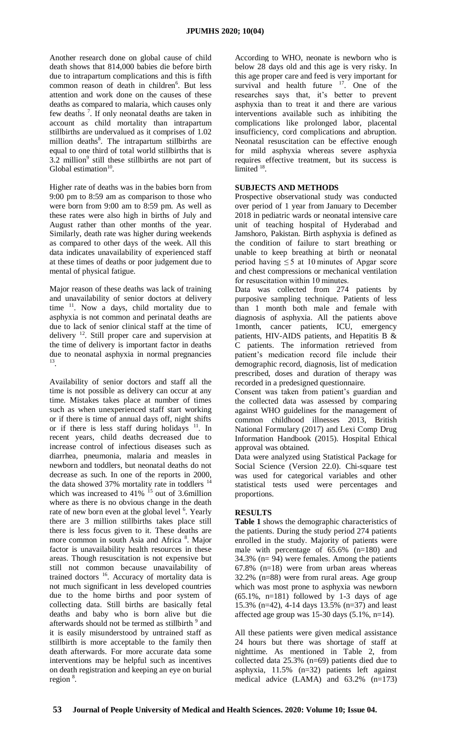Another research done on global cause of child death shows that 814,000 babies die before birth due to intrapartum complications and this is fifth common reason of death in children<sup>6</sup>. But less attention and work done on the causes of these deaths as compared to malaria, which causes only few deaths<sup>7</sup>. If only neonatal deaths are taken in account as child mortality than intrapartum stillbirths are undervalued as it comprises of 1.02 million deaths<sup>8</sup>. The intrapartum stillbirths are equal to one third of total world stillbirths that is  $3.2$  million<sup>9</sup> still these stillbirths are not part of Global estimation $10$ .

Higher rate of deaths was in the babies born from 9:00 pm to 8:59 am as comparison to those who were born from 9:00 am to 8:59 pm. As well as these rates were also high in births of July and August rather than other months of the year. Similarly, death rate was higher during weekends as compared to other days of the week. All this data indicates unavailability of experienced staff at these times of deaths or poor judgement due to mental of physical fatigue.

Major reason of these deaths was lack of training and unavailability of senior doctors at delivery time <sup>11</sup>. Now a days, child mortality due to asphyxia is not common and perinatal deaths are due to lack of senior clinical staff at the time of delivery <sup>12</sup>. Still proper care and supervision at the time of delivery is important factor in deaths due to neonatal asphyxia in normal pregnancies 13 .

Availability of senior doctors and staff all the time is not possible as delivery can occur at any time. Mistakes takes place at number of times such as when unexperienced staff start working or if there is time of annual days off, night shifts or if there is less staff during holidays  $11$ . In recent years, child deaths decreased due to increase control of infectious diseases such as diarrhea, pneumonia, malaria and measles in newborn and toddlers, but neonatal deaths do not decrease as such. In one of the reports in 2000, the data showed 37% mortality rate in toddlers  $1/4$ which was increased to  $41\%$ <sup>15</sup> out of 3.6million where as there is no obvious change in the death rate of new born even at the global level <sup>6</sup>. Yearly there are 3 million stillbirths takes place still there is less focus given to it. These deaths are more common in south Asia and Africa<sup>8</sup>. Major factor is unavailability health resources in these areas. Though resuscitation is not expensive but still not common because unavailability of trained doctors <sup>16</sup>. Accuracy of mortality data is not much significant in less developed countries due to the home births and poor system of collecting data. Still births are basically fetal deaths and baby who is born alive but die afterwards should not be termed as stillbirth <sup>9</sup> and it is easily misunderstood by untrained staff as stillbirth is more acceptable to the family then death afterwards. For more accurate data some interventions may be helpful such as incentives on death registration and keeping an eye on burial region<sup>8</sup>.

According to WHO, neonate is newborn who is below 28 days old and this age is very risky. In this age proper care and feed is very important for survival and health future <sup>17</sup>. One of the researches says that, it's better to prevent asphyxia than to treat it and there are various interventions available such as inhibiting the complications like prolonged labor, placental insufficiency, cord complications and abruption. Neonatal resuscitation can be effective enough for mild asphyxia whereas severe asphyxia requires effective treatment, but its success is limited <sup>18</sup>.

### **SUBJECTS AND METHODS**

Prospective observational study was conducted over period of 1 year from January to December 2018 in pediatric wards or neonatal intensive care unit of teaching hospital of Hyderabad and Jamshoro, Pakistan. Birth asphyxia is defined as the condition of failure to start breathing or unable to keep breathing at birth or neonatal period having  $\leq$  5 at 10 minutes of Apgar score and chest compressions or mechanical ventilation for resuscitation within 10 minutes.

Data was collected from 274 patients by purposive sampling technique. Patients of less than 1 month both male and female with diagnosis of asphyxia. All the patients above 1month, cancer patients, ICU, emergency patients, HIV-AIDS patients, and Hepatitis B & C patients. The information retrieved from patient's medication record file include their demographic record, diagnosis, list of medication prescribed, doses and duration of therapy was recorded in a predesigned questionnaire.

Consent was taken from patient's guardian and the collected data was assessed by comparing against WHO guidelines for the management of common childhood illnesses 2013, British National Formulary (2017) and Lexi Comp Drug Information Handbook (2015). Hospital Ethical approval was obtained.

Data were analyzed using Statistical Package for Social Science (Version 22.0). Chi-square test was used for categorical variables and other statistical tests used were percentages and proportions.

# **RESULTS**

**Table 1** shows the demographic characteristics of the patients. During the study period 274 patients enrolled in the study. Majority of patients were male with percentage of 65.6% (n=180) and 34.3% (n= 94) were females. Among the patients 67.8% (n=18) were from urban areas whereas 32.2% (n=88) were from rural areas. Age group which was most prone to asphyxia was newborn  $(65.1\%$ , n=181) followed by 1-3 days of age 15.3% (n=42), 4-14 days 13.5% (n=37) and least affected age group was 15-30 days (5.1%, n=14).

All these patients were given medical assistance 24 hours but there was shortage of staff at nighttime. As mentioned in Table 2, from collected data 25.3% (n=69) patients died due to asphyxia, 11.5% (n=32) patients left against medical advice (LAMA) and 63.2% (n=173)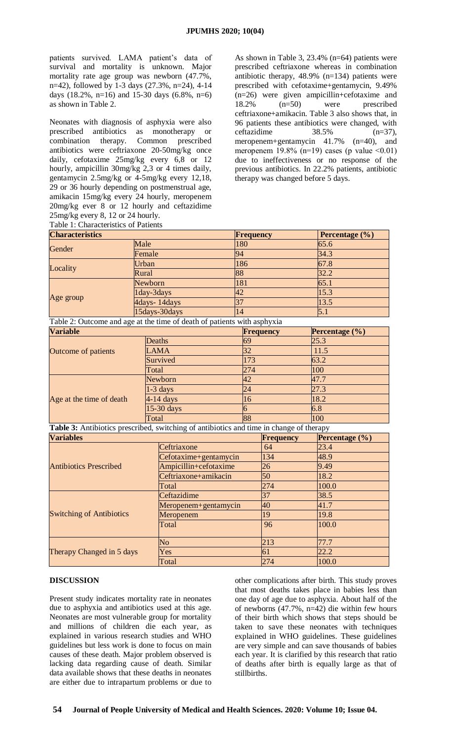patients survived. LAMA patient's data of survival and mortality is unknown. Major mortality rate age group was newborn (47.7%, n=42), followed by 1-3 days (27.3%, n=24), 4-14 days (18.2%, n=16) and 15-30 days (6.8%, n=6) as shown in Table 2.

Neonates with diagnosis of asphyxia were also prescribed antibiotics as monotherapy or combination therapy. Common prescribed antibiotics were ceftriaxone 20-50mg/kg once daily, cefotaxime 25mg/kg every 6,8 or 12 hourly, ampicillin 30mg/kg 2,3 or 4 times daily, gentamycin 2.5mg/kg or 4-5mg/kg every 12,18, 29 or 36 hourly depending on postmenstrual age, amikacin 15mg/kg every 24 hourly, meropenem 20mg/kg ever 8 or 12 hourly and ceftazidime 25mg/kg every 8, 12 or 24 hourly. Table 1: Characteristics of Patients

As shown in Table 3, 23.4% (n=64) patients were prescribed ceftriaxone whereas in combination antibiotic therapy, 48.9% (n=134) patients were prescribed with cefotaxime+gentamycin, 9.49% (n=26) were given ampicillin+cefotaxime and 18.2% (n=50) were prescribed ceftriaxone+amikacin. Table 3 also shows that, in 96 patients these antibiotics were changed, with ceftazidime  $38.5\%$  (n=37), meropenem+gentamycin 41.7% (n=40), and meropenem 19.8% (n=19) cases (p value  $\leq 0.01$ ) due to ineffectiveness or no response of the previous antibiotics. In 22.2% patients, antibiotic therapy was changed before 5 days.

| <b>Characteristics</b>                                                                  |               |                       | Frequency       |                  | Percentage (%)     |
|-----------------------------------------------------------------------------------------|---------------|-----------------------|-----------------|------------------|--------------------|
| Gender                                                                                  | Male          |                       | 180             |                  | 65.6               |
|                                                                                         | Female        |                       | 94              |                  | 34.3               |
| Locality                                                                                |               | Urban                 |                 |                  | 67.8               |
|                                                                                         | Rural         |                       | 88              |                  | 32.2               |
| Age group                                                                               | Newborn       |                       | 181             |                  | 65.1               |
|                                                                                         | 1day-3days    |                       | 42              |                  | 15.3               |
|                                                                                         | 4days-14days  |                       | $\overline{37}$ |                  | 13.5               |
|                                                                                         | 15days-30days |                       | 14              |                  | 5.1                |
| Table 2: Outcome and age at the time of death of patients with asphyxia                 |               |                       |                 |                  |                    |
| <b>Variable</b>                                                                         |               |                       |                 | <b>Frequency</b> | Percentage (%)     |
|                                                                                         |               | <b>Deaths</b>         | 69              |                  | 25.3               |
| Outcome of patients                                                                     |               | <b>LAMA</b>           | 32              |                  | 11.5               |
|                                                                                         |               | Survived              | 173             |                  | 63.2               |
|                                                                                         |               | Total                 | 274             |                  | 100                |
|                                                                                         |               | Newborn               | 42              |                  | 47.7               |
|                                                                                         |               | $1-3$ days            | 24              |                  | 27.3               |
| Age at the time of death                                                                |               | $4-14$ days           | 16              |                  | 18.2               |
|                                                                                         |               | 15-30 days            | 6               |                  | 6.8                |
|                                                                                         |               | Total                 | 88              |                  | 100                |
| Table 3: Antibiotics prescribed, switching of antibiotics and time in change of therapy |               |                       |                 |                  |                    |
| <b>Variables</b>                                                                        |               |                       |                 | <b>Frequency</b> | Percentage $(\% )$ |
| <b>Antibiotics Prescribed</b>                                                           |               | Ceftriaxone           |                 | 64               | 23.4               |
|                                                                                         |               | Cefotaxime+gentamycin |                 | 134              | 48.9               |
|                                                                                         |               | Ampicillin+cefotaxime |                 | 26               | 9.49               |
|                                                                                         |               | Ceftriaxone+amikacin  |                 | 50               | 18.2               |
|                                                                                         |               | Total                 |                 | 274              | 100.0              |
| <b>Switching of Antibiotics</b>                                                         |               | Ceftazidime           |                 | 37               | 38.5               |
|                                                                                         |               | Meropenem+gentamycin  |                 | 40               | 41.7               |
|                                                                                         |               | Meropenem             |                 | 19               | 19.8               |
|                                                                                         |               | Total                 |                 | 96               | 100.0              |
|                                                                                         |               | N <sub>o</sub>        |                 | 213              | 77.7               |

 $Yes$  61 22.2 Total 100.0

### **DISCUSSION**

Therapy Changed in 5 days

Present study indicates mortality rate in neonates due to asphyxia and antibiotics used at this age. Neonates are most vulnerable group for mortality and millions of children die each year, as explained in various research studies and WHO guidelines but less work is done to focus on main causes of these death. Major problem observed is lacking data regarding cause of death. Similar data available shows that these deaths in neonates are either due to intrapartum problems or due to

other complications after birth. This study proves that most deaths takes place in babies less than one day of age due to asphyxia. About half of the of newborns (47.7%, n=42) die within few hours of their birth which shows that steps should be taken to save these neonates with techniques explained in WHO guidelines. These guidelines are very simple and can save thousands of babies each year. It is clarified by this research that ratio of deaths after birth is equally large as that of stillbirths.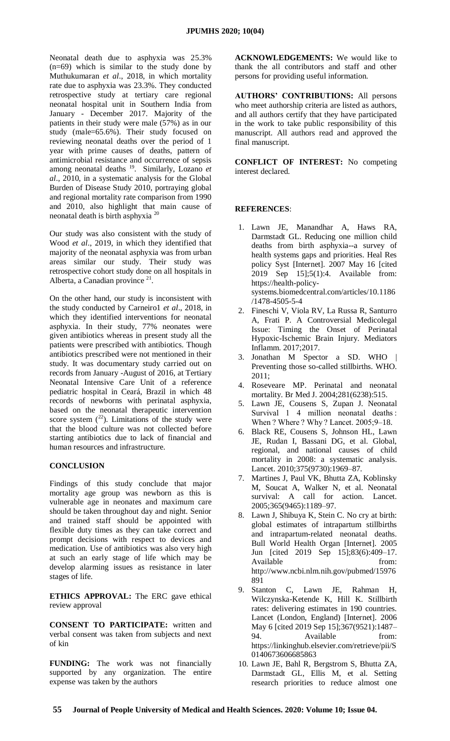Neonatal death due to asphyxia was 25.3% (n=69) which is similar to the study done by Muthukumaran *et al*., 2018, in which mortality rate due to asphyxia was 23.3%. They conducted retrospective study at tertiary care regional neonatal hospital unit in Southern India from January - December 2017. Majority of the patients in their study were male (57%) as in our study (male=65.6%). Their study focused on reviewing neonatal deaths over the period of 1 year with prime causes of deaths, pattern of antimicrobial resistance and occurrence of sepsis among neonatal deaths <sup>19</sup>. Similarly, Lozano *et al*., 2010, in a systematic analysis for the Global Burden of Disease Study 2010, portraying global and regional mortality rate comparison from 1990 and 2010, also highlight that main cause of neonatal death is birth asphyxia <sup>20</sup>

Our study was also consistent with the study of Wood *et al*., 2019, in which they identified that majority of the neonatal asphyxia was from urban areas similar our study. Their study was retrospective cohort study done on all hospitals in Alberta, a Canadian province  $21$ .

On the other hand, our study is inconsistent with the study conducted by Carneiro1 *et al*., 2018, in which they identified interventions for neonatal asphyxia. In their study, 77% neonates were given antibiotics whereas in present study all the patients were prescribed with antibiotics. Though antibiotics prescribed were not mentioned in their study. It was documentary study carried out on records from January -August of 2016, at Tertiary Neonatal Intensive Care Unit of a reference pediatric hospital in Ceará, Brazil in which 48 records of newborns with perinatal asphyxia, based on the neonatal therapeutic intervention score system  $(^{22})$ . Limitations of the study were that the blood culture was not collected before starting antibiotics due to lack of financial and human resources and infrastructure.

### **CONCLUSION**

Findings of this study conclude that major mortality age group was newborn as this is vulnerable age in neonates and maximum care should be taken throughout day and night. Senior and trained staff should be appointed with flexible duty times as they can take correct and prompt decisions with respect to devices and medication. Use of antibiotics was also very high at such an early stage of life which may be develop alarming issues as resistance in later stages of life.

**ETHICS APPROVAL:** The ERC gave ethical review approval

**CONSENT TO PARTICIPATE:** written and verbal consent was taken from subjects and next of kin

**FUNDING:** The work was not financially supported by any organization. The entire expense was taken by the authors

**ACKNOWLEDGEMENTS:** We would like to thank the all contributors and staff and other persons for providing useful information.

**AUTHORS' CONTRIBUTIONS:** All persons who meet authorship criteria are listed as authors, and all authors certify that they have participated in the work to take public responsibility of this manuscript. All authors read and approved the final manuscript.

**CONFLICT OF INTEREST:** No competing interest declared.

### **REFERENCES**:

- 1. Lawn JE, Manandhar A, Haws RA, Darmstadt GL. Reducing one million child deaths from birth asphyxia--a survey of health systems gaps and priorities. Heal Res policy Syst [Internet]. 2007 May 16 [cited 2019 Sep 15];5(1):4. Available from: https://health-policysystems.biomedcentral.com/articles/10.1186 /1478-4505-5-4
- 2. Fineschi V, Viola RV, La Russa R, Santurro A, Frati P. A Controversial Medicolegal Issue: Timing the Onset of Perinatal Hypoxic-Ischemic Brain Injury. Mediators Inflamm. 2017;2017.
- 3. Jonathan M Spector a SD. WHO | Preventing those so-called stillbirths. WHO. 2011;
- 4. Roseveare MP. Perinatal and neonatal mortality. Br Med J. 2004;281(6238):515.
- 5. Lawn JE, Cousens S, Zupan J. Neonatal Survival 1 4 million neonatal deaths: When ? Where ? Why ? Lancet. 2005;9-18.
- 6. Black RE, Cousens S, Johnson HL, Lawn JE, Rudan I, Bassani DG, et al. Global, regional, and national causes of child mortality in 2008: a systematic analysis. Lancet. 2010;375(9730):1969–87.
- 7. Martines J, Paul VK, Bhutta ZA, Koblinsky M, Soucat A, Walker N, et al. Neonatal survival: A call for action. Lancet. 2005;365(9465):1189–97.
- 8. Lawn J, Shibuya K, Stein C. No cry at birth: global estimates of intrapartum stillbirths and intrapartum-related neonatal deaths. Bull World Health Organ [Internet]. 2005 Jun [cited 2019 Sep 15];83(6):409–17. Available from: http://www.ncbi.nlm.nih.gov/pubmed/15976 891
- 9. Stanton C, Lawn JE, Rahman H, Wilczynska-Ketende K, Hill K. Stillbirth rates: delivering estimates in 190 countries. Lancet (London, England) [Internet]. 2006 May 6 [cited 2019 Sep 15];367(9521):1487– 94. Available from: https://linkinghub.elsevier.com/retrieve/pii/S 0140673606685863
- 10. Lawn JE, Bahl R, Bergstrom S, Bhutta ZA, Darmstadt GL, Ellis M, et al. Setting research priorities to reduce almost one